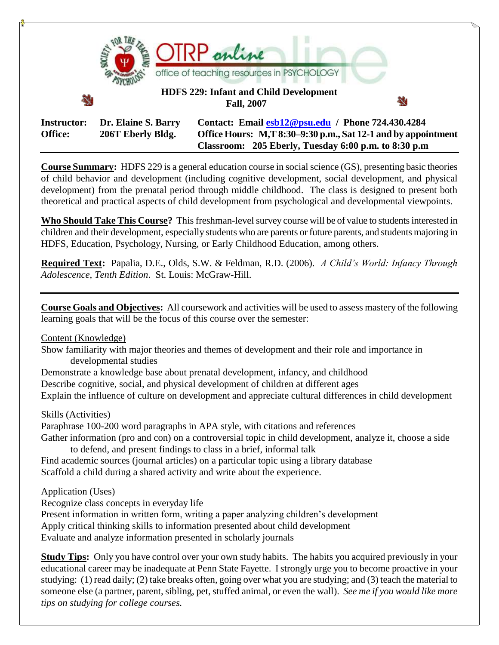

**Course Summary:** HDFS 229 is a general education course in social science (GS), presenting basic theories of child behavior and development (including cognitive development, social development, and physical development) from the prenatal period through middle childhood. The class is designed to present both theoretical and practical aspects of child development from psychological and developmental viewpoints.

**Who Should Take This Course?** This freshman-level survey course will be of value to students interested in children and their development, especially students who are parents or future parents, and students majoring in HDFS, Education, Psychology, Nursing, or Early Childhood Education, among others.

**Required Text:** Papalia, D.E., Olds, S.W. & Feldman, R.D. (2006). *A Child's World: Infancy Through Adolescence, Tenth Edition*. St. Louis: McGraw-Hill.

**Course Goals and Objectives:** All coursework and activities will be used to assess mastery of the following learning goals that will be the focus of this course over the semester:

#### Content (Knowledge)

Show familiarity with major theories and themes of development and their role and importance in developmental studies

Demonstrate a knowledge base about prenatal development, infancy, and childhood Describe cognitive, social, and physical development of children at different ages Explain the influence of culture on development and appreciate cultural differences in child development

#### Skills (Activities)

Paraphrase 100-200 word paragraphs in APA style, with citations and references Gather information (pro and con) on a controversial topic in child development, analyze it, choose a side to defend, and present findings to class in a brief, informal talk

Find academic sources (journal articles) on a particular topic using a library database Scaffold a child during a shared activity and write about the experience.

### Application (Uses)

Recognize class concepts in everyday life

Present information in written form, writing a paper analyzing children's development

Apply critical thinking skills to information presented about child development

Evaluate and analyze information presented in scholarly journals

**Study Tips:** Only you have control over your own study habits. The habits you acquired previously in your educational career may be inadequate at Penn State Fayette. I strongly urge you to become proactive in your studying: (1) read daily; (2) take breaks often, going over what you are studying; and (3) teach the material to someone else (a partner, parent, sibling, pet, stuffed animal, or even the wall). *See me if you would like more tips on studying for college courses.*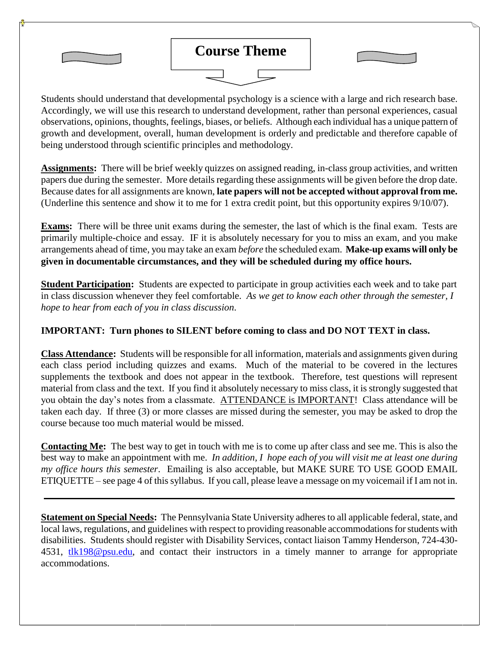

Students should understand that developmental psychology is a science with a large and rich research base. Accordingly, we will use this research to understand development, rather than personal experiences, casual observations, opinions, thoughts, feelings, biases, or beliefs. Although each individual has a unique pattern of growth and development, overall, human development is orderly and predictable and therefore capable of being understood through scientific principles and methodology.

**Assignments:** There will be brief weekly quizzes on assigned reading, in-class group activities, and written papers due during the semester. More details regarding these assignments will be given before the drop date. Because dates for all assignments are known, **late papers will not be accepted without approval from me.**  (Underline this sentence and show it to me for 1 extra credit point, but this opportunity expires 9/10/07).

**Exams:** There will be three unit exams during the semester, the last of which is the final exam. Tests are primarily multiple-choice and essay. IF it is absolutely necessary for you to miss an exam, and you make arrangements ahead of time, you may take an exam *before* the scheduled exam. **Make-up exams will only be given in documentable circumstances, and they will be scheduled during my office hours.**

**Student Participation:** Students are expected to participate in group activities each week and to take part in class discussion whenever they feel comfortable. *As we get to know each other through the semester, I hope to hear from each of you in class discussion*.

# **IMPORTANT: Turn phones to SILENT before coming to class and DO NOT TEXT in class.**

**Class Attendance:** Students will be responsible for all information, materials and assignments given during each class period including quizzes and exams. Much of the material to be covered in the lectures supplements the textbook and does not appear in the textbook. Therefore, test questions will represent material from class and the text. If you find it absolutely necessary to miss class, it is strongly suggested that you obtain the day"s notes from a classmate. ATTENDANCE is IMPORTANT! Class attendance will be taken each day. If three (3) or more classes are missed during the semester, you may be asked to drop the course because too much material would be missed.

**Contacting Me:** The best way to get in touch with me is to come up after class and see me. This is also the best way to make an appointment with me. *In addition, I hope each of you will visit me at least one during my office hours this semester*. Emailing is also acceptable, but MAKE SURE TO USE GOOD EMAIL ETIQUETTE – see page 4 of this syllabus. If you call, please leave a message on my voicemail if I am not in.

**Statement on Special Needs:** The Pennsylvania State University adheres to all applicable federal, state, and local laws, regulations, and guidelines with respect to providing reasonable accommodations for students with disabilities. Students should register with Disability Services, contact liaison Tammy Henderson, 724-430- 4531, [tlk198@psu.edu,](mailto:tlk198@psu.edu) and contact their instructors in a timely manner to arrange for appropriate accommodations.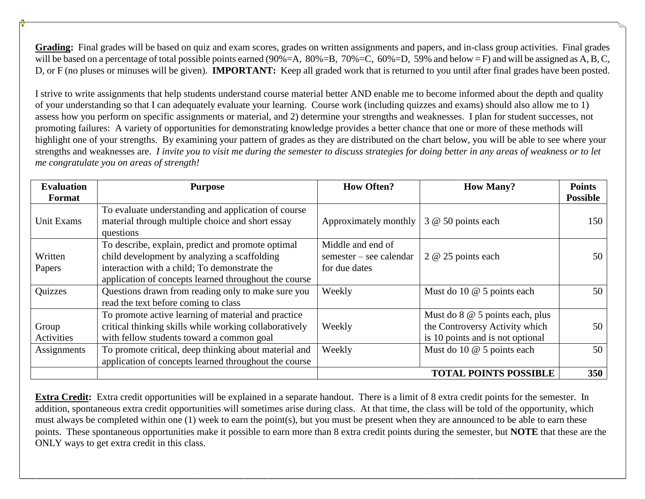**Grading:** Final grades will be based on quiz and exam scores, grades on written assignments and papers, and in-class group activities. Final grades will be based on a percentage of total possible points earned (90%=A, 80%=B, 70%=C, 60%=D, 59% and below = F) and will be assigned as A, B, C, D, or F (no pluses or minuses will be given). **IMPORTANT:** Keep all graded work that is returned to you until after final grades have been posted.

I strive to write assignments that help students understand course material better AND enable me to become informed about the depth and quality of your understanding so that I can adequately evaluate your learning. Course work (including quizzes and exams) should also allow me to 1) assess how you perform on specific assignments or material, and 2) determine your strengths and weaknesses. I plan for student successes, not promoting failures: A variety of opportunities for demonstrating knowledge provides a better chance that one or more of these methods will highlight one of your strengths. By examining your pattern of grades as they are distributed on the chart below, you will be able to see where your strengths and weaknesses are. *I invite you to visit me during the semester to discuss strategies for doing better in any areas of weakness or to let me congratulate you on areas of strength!*

| <b>Evaluation</b> | <b>Purpose</b>                                         | <b>How Often?</b>       | <b>How Many?</b>                 | <b>Points</b>   |
|-------------------|--------------------------------------------------------|-------------------------|----------------------------------|-----------------|
| Format            |                                                        |                         |                                  | <b>Possible</b> |
|                   | To evaluate understanding and application of course    |                         |                                  |                 |
| Unit Exams        | material through multiple choice and short essay       | Approximately monthly   | 3 @ 50 points each               | 150             |
|                   | questions                                              |                         |                                  |                 |
|                   | To describe, explain, predict and promote optimal      | Middle and end of       |                                  |                 |
| Written           | child development by analyzing a scaffolding           | semester – see calendar | 2 @ 25 points each               | 50              |
| Papers            | interaction with a child; To demonstrate the           | for due dates           |                                  |                 |
|                   | application of concepts learned throughout the course  |                         |                                  |                 |
| Quizzes           | Questions drawn from reading only to make sure you     | Weekly                  | Must do 10 @ 5 points each       | 50              |
|                   | read the text before coming to class                   |                         |                                  |                 |
|                   | To promote active learning of material and practice    |                         | Must do 8 @ 5 points each, plus  |                 |
| Group             | critical thinking skills while working collaboratively | Weekly                  | the Controversy Activity which   | 50              |
| Activities        | with fellow students toward a common goal              |                         | is 10 points and is not optional |                 |
| Assignments       | To promote critical, deep thinking about material and  | Weekly                  | Must do 10 @ 5 points each       | 50              |
|                   | application of concepts learned throughout the course  |                         |                                  |                 |
|                   |                                                        |                         | <b>TOTAL POINTS POSSIBLE</b>     | 350             |

**Extra Credit:** Extra credit opportunities will be explained in a separate handout. There is a limit of 8 extra credit points for the semester. In addition, spontaneous extra credit opportunities will sometimes arise during class. At that time, the class will be told of the opportunity, which must always be completed within one (1) week to earn the point(s), but you must be present when they are announced to be able to earn these points. These spontaneous opportunities make it possible to earn more than 8 extra credit points during the semester, but **NOTE** that these are the ONLY ways to get extra credit in this class.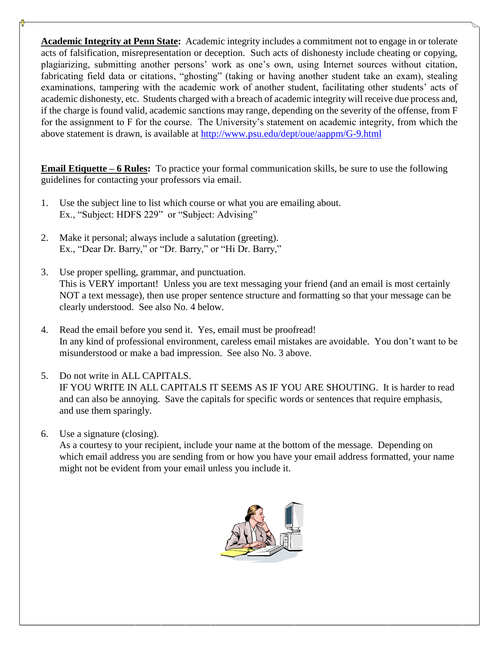**Academic Integrity at Penn State:** Academic integrity includes a commitment not to engage in or tolerate acts of falsification, misrepresentation or deception. Such acts of dishonesty include cheating or copying, plagiarizing, submitting another persons' work as one's own, using Internet sources without citation, fabricating field data or citations, "ghosting" (taking or having another student take an exam), stealing examinations, tampering with the academic work of another student, facilitating other students" acts of academic dishonesty, etc. Students charged with a breach of academic integrity will receive due process and, if the charge is found valid, academic sanctions may range, depending on the severity of the offense, from F for the assignment to F for the course. The University"s statement on academic integrity, from which the above statement is drawn, is available at<http://www.psu.edu/dept/oue/aappm/G-9.html>

**Email Etiquette – 6 Rules:** To practice your formal communication skills, be sure to use the following guidelines for contacting your professors via email.

- 1. Use the subject line to list which course or what you are emailing about. Ex., "Subject: HDFS 229" or "Subject: Advising"
- 2. Make it personal; always include a salutation (greeting). Ex., "Dear Dr. Barry," or "Dr. Barry," or "Hi Dr. Barry,"
- 3. Use proper spelling, grammar, and punctuation. This is VERY important! Unless you are text messaging your friend (and an email is most certainly NOT a text message), then use proper sentence structure and formatting so that your message can be clearly understood. See also No. 4 below.
- 4. Read the email before you send it. Yes, email must be proofread! In any kind of professional environment, careless email mistakes are avoidable. You don"t want to be misunderstood or make a bad impression. See also No. 3 above.
- 5. Do not write in ALL CAPITALS.

IF YOU WRITE IN ALL CAPITALS IT SEEMS AS IF YOU ARE SHOUTING. It is harder to read and can also be annoying. Save the capitals for specific words or sentences that require emphasis, and use them sparingly.

6. Use a signature (closing).

As a courtesy to your recipient, include your name at the bottom of the message. Depending on which email address you are sending from or how you have your email address formatted, your name might not be evident from your email unless you include it.

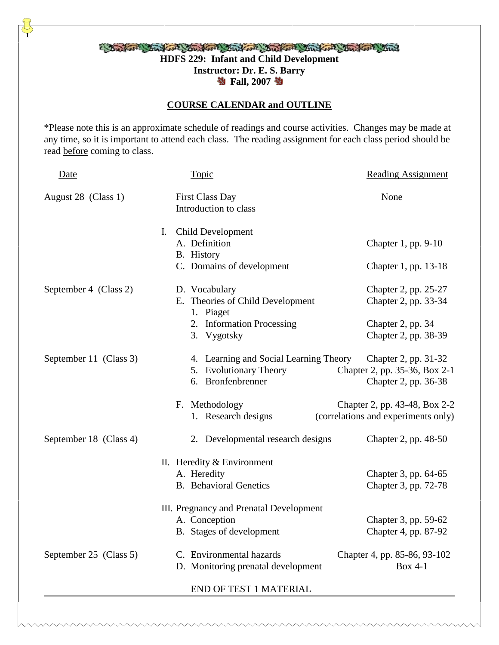# Bankov Stan Stan Kore Markov Stan Kore Stan Kore Stan **HDFS 229: Infant and Child Development Instructor: Dr. E. S. Barry 卷 Fall, 2007 卷**

# **COURSE CALENDAR and OUTLINE**

\*Please note this is an approximate schedule of readings and course activities. Changes may be made at any time, so it is important to attend each class. The reading assignment for each class period should be read before coming to class.

| Date                   | Topic                                                                                        | <b>Reading Assignment</b>                                                     |
|------------------------|----------------------------------------------------------------------------------------------|-------------------------------------------------------------------------------|
| August 28 (Class 1)    | <b>First Class Day</b><br>Introduction to class                                              | None                                                                          |
|                        | $I_{\cdot}$<br>Child Development<br>A. Definition<br>B. History<br>C. Domains of development | Chapter 1, pp. 9-10<br>Chapter 1, pp. 13-18                                   |
| September 4 (Class 2)  | D. Vocabulary<br>E. Theories of Child Development<br>1. Piaget                               | Chapter 2, pp. 25-27<br>Chapter 2, pp. 33-34                                  |
|                        | 2. Information Processing<br>3. Vygotsky                                                     | Chapter 2, pp. 34<br>Chapter 2, pp. 38-39                                     |
| September 11 (Class 3) | 4. Learning and Social Learning Theory<br>5. Evolutionary Theory<br>6. Bronfenbrenner        | Chapter 2, pp. 31-32<br>Chapter 2, pp. 35-36, Box 2-1<br>Chapter 2, pp. 36-38 |
|                        | F. Methodology<br>1. Research designs                                                        | Chapter 2, pp. 43-48, Box 2-2<br>(correlations and experiments only)          |
| September 18 (Class 4) | 2. Developmental research designs                                                            | Chapter 2, pp. 48-50                                                          |
|                        | II. Heredity & Environment<br>A. Heredity<br><b>B.</b> Behavioral Genetics                   | Chapter 3, pp. 64-65<br>Chapter 3, pp. 72-78                                  |
|                        | III. Pregnancy and Prenatal Development<br>A. Conception<br>B. Stages of development         | Chapter 3, pp. 59-62<br>Chapter 4, pp. 87-92                                  |
| September 25 (Class 5) | C. Environmental hazards<br>D. Monitoring prenatal development                               | Chapter 4, pp. 85-86, 93-102<br><b>Box 4-1</b>                                |
|                        | <b>END OF TEST 1 MATERIAL</b>                                                                |                                                                               |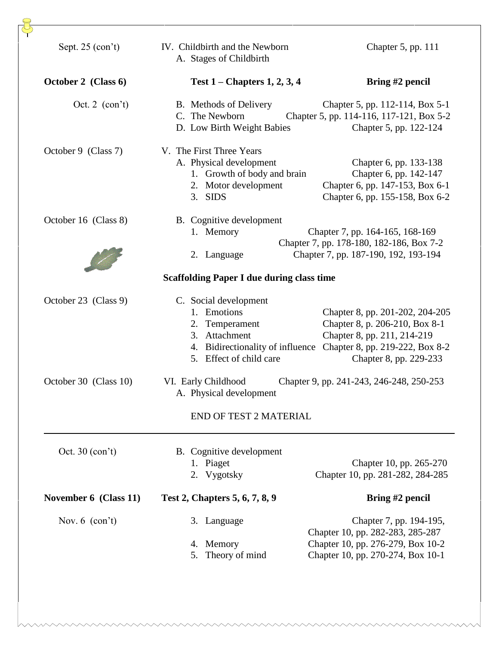| Sept. $25$ (con't)<br>IV. Childbirth and the Newborn<br>Chapter 5, pp. 111<br>A. Stages of Childbirth<br>October 2 (Class 6)<br>Test $1$ – Chapters 1, 2, 3, 4<br>Bring #2 pencil<br>Oct. 2 $(con't)$<br>B. Methods of Delivery<br>Chapter 5, pp. 114-116, 117-121, Box 5-2<br>C. The Newborn<br>D. Low Birth Weight Babies<br>Chapter 5, pp. 122-124<br>V. The First Three Years<br>October 9 (Class 7)<br>A. Physical development<br>Chapter 6, pp. 133-138<br>Chapter 6, pp. 142-147<br>1. Growth of body and brain<br>2. Motor development<br>3. SIDS<br>October 16 (Class 8)<br>B. Cognitive development<br>1. Memory<br>Chapter 7, pp. 164-165, 168-169<br>Chapter 7, pp. 178-180, 182-186, Box 7-2<br>Chapter 7, pp. 187-190, 192, 193-194<br>2. Language<br><b>Scaffolding Paper I due during class time</b><br>C. Social development<br>October 23 (Class 9)<br>1. Emotions<br>2. Temperament<br>Chapter 8, pp. 211, 214-219<br>3. Attachment<br>4. Bidirectionality of influence<br>5. Effect of child care<br>Chapter 8, pp. 229-233<br>October 30 (Class 10)<br>VI. Early Childhood<br>Chapter 9, pp. 241-243, 246-248, 250-253<br>A. Physical development<br><b>END OF TEST 2 MATERIAL</b><br>Oct. $30$ (con't)<br>B. Cognitive development<br>1. Piaget<br>2. Vygotsky<br>Test 2, Chapters 5, 6, 7, 8, 9<br>Bring #2 pencil<br>November 6 (Class 11)<br>Nov. $6$ (con't)<br>Chapter 7, pp. 194-195,<br>3. Language<br>Chapter 10, pp. 282-283, 285-287<br>4. Memory<br>Chapter 10, pp. 270-274, Box 10-1<br>5. Theory of mind |  |                                                                                                      |
|---------------------------------------------------------------------------------------------------------------------------------------------------------------------------------------------------------------------------------------------------------------------------------------------------------------------------------------------------------------------------------------------------------------------------------------------------------------------------------------------------------------------------------------------------------------------------------------------------------------------------------------------------------------------------------------------------------------------------------------------------------------------------------------------------------------------------------------------------------------------------------------------------------------------------------------------------------------------------------------------------------------------------------------------------------------------------------------------------------------------------------------------------------------------------------------------------------------------------------------------------------------------------------------------------------------------------------------------------------------------------------------------------------------------------------------------------------------------------------------------------------------------------------------------|--|------------------------------------------------------------------------------------------------------|
|                                                                                                                                                                                                                                                                                                                                                                                                                                                                                                                                                                                                                                                                                                                                                                                                                                                                                                                                                                                                                                                                                                                                                                                                                                                                                                                                                                                                                                                                                                                                             |  |                                                                                                      |
|                                                                                                                                                                                                                                                                                                                                                                                                                                                                                                                                                                                                                                                                                                                                                                                                                                                                                                                                                                                                                                                                                                                                                                                                                                                                                                                                                                                                                                                                                                                                             |  |                                                                                                      |
|                                                                                                                                                                                                                                                                                                                                                                                                                                                                                                                                                                                                                                                                                                                                                                                                                                                                                                                                                                                                                                                                                                                                                                                                                                                                                                                                                                                                                                                                                                                                             |  | Chapter 5, pp. 112-114, Box 5-1                                                                      |
|                                                                                                                                                                                                                                                                                                                                                                                                                                                                                                                                                                                                                                                                                                                                                                                                                                                                                                                                                                                                                                                                                                                                                                                                                                                                                                                                                                                                                                                                                                                                             |  | Chapter 6, pp. 147-153, Box 6-1<br>Chapter 6, pp. 155-158, Box 6-2                                   |
|                                                                                                                                                                                                                                                                                                                                                                                                                                                                                                                                                                                                                                                                                                                                                                                                                                                                                                                                                                                                                                                                                                                                                                                                                                                                                                                                                                                                                                                                                                                                             |  |                                                                                                      |
|                                                                                                                                                                                                                                                                                                                                                                                                                                                                                                                                                                                                                                                                                                                                                                                                                                                                                                                                                                                                                                                                                                                                                                                                                                                                                                                                                                                                                                                                                                                                             |  |                                                                                                      |
|                                                                                                                                                                                                                                                                                                                                                                                                                                                                                                                                                                                                                                                                                                                                                                                                                                                                                                                                                                                                                                                                                                                                                                                                                                                                                                                                                                                                                                                                                                                                             |  | Chapter 8, pp. 201-202, 204-205<br>Chapter 8, p. 206-210, Box 8-1<br>Chapter 8, pp. 219-222, Box 8-2 |
|                                                                                                                                                                                                                                                                                                                                                                                                                                                                                                                                                                                                                                                                                                                                                                                                                                                                                                                                                                                                                                                                                                                                                                                                                                                                                                                                                                                                                                                                                                                                             |  |                                                                                                      |
|                                                                                                                                                                                                                                                                                                                                                                                                                                                                                                                                                                                                                                                                                                                                                                                                                                                                                                                                                                                                                                                                                                                                                                                                                                                                                                                                                                                                                                                                                                                                             |  |                                                                                                      |
|                                                                                                                                                                                                                                                                                                                                                                                                                                                                                                                                                                                                                                                                                                                                                                                                                                                                                                                                                                                                                                                                                                                                                                                                                                                                                                                                                                                                                                                                                                                                             |  | Chapter 10, pp. 265-270<br>Chapter 10, pp. 281-282, 284-285                                          |
|                                                                                                                                                                                                                                                                                                                                                                                                                                                                                                                                                                                                                                                                                                                                                                                                                                                                                                                                                                                                                                                                                                                                                                                                                                                                                                                                                                                                                                                                                                                                             |  |                                                                                                      |
|                                                                                                                                                                                                                                                                                                                                                                                                                                                                                                                                                                                                                                                                                                                                                                                                                                                                                                                                                                                                                                                                                                                                                                                                                                                                                                                                                                                                                                                                                                                                             |  | Chapter 10, pp. 276-279, Box 10-2                                                                    |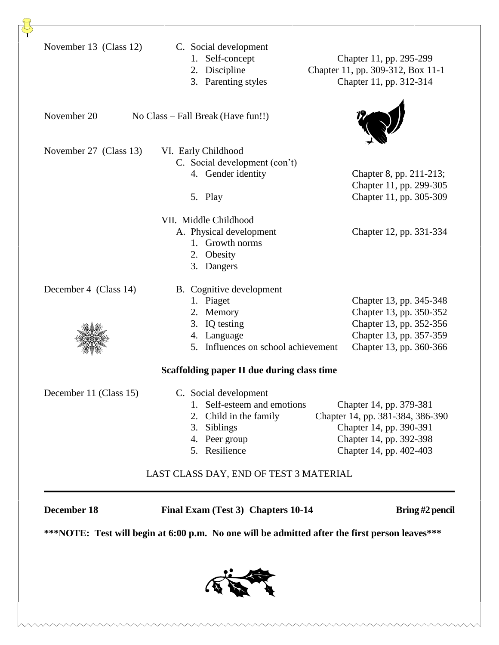|                        |                                                                                                                                       | ***NOTE: Test will begin at 6:00 p.m. No one will be admitted after the first person leaves***                                               |
|------------------------|---------------------------------------------------------------------------------------------------------------------------------------|----------------------------------------------------------------------------------------------------------------------------------------------|
| <b>December 18</b>     | Final Exam (Test 3) Chapters 10-14                                                                                                    | Bring #2 pencil                                                                                                                              |
|                        | LAST CLASS DAY, END OF TEST 3 MATERIAL                                                                                                |                                                                                                                                              |
| December 11 (Class 15) | C. Social development<br>1. Self-esteem and emotions<br>Child in the family<br>2.<br>3.<br>Siblings<br>4. Peer group<br>5. Resilience | Chapter 14, pp. 379-381<br>Chapter 14, pp. 381-384, 386-390<br>Chapter 14, pp. 390-391<br>Chapter 14, pp. 392-398<br>Chapter 14, pp. 402-403 |
|                        | Scaffolding paper II due during class time                                                                                            |                                                                                                                                              |
| December 4 (Class 14)  | B. Cognitive development<br>1. Piaget<br>Memory<br>2.<br>3. IQ testing<br>4. Language<br>5. Influences on school achievement          | Chapter 13, pp. 345-348<br>Chapter 13, pp. 350-352<br>Chapter 13, pp. 352-356<br>Chapter 13, pp. 357-359<br>Chapter 13, pp. 360-366          |
|                        | VII. Middle Childhood<br>A. Physical development<br>1. Growth norms<br>Obesity<br>2.<br>3. Dangers                                    | Chapter 12, pp. 331-334                                                                                                                      |
| November 27 (Class 13) | VI. Early Childhood<br>C. Social development (con't)<br>4. Gender identity<br>5. Play                                                 | Chapter 8, pp. 211-213;<br>Chapter 11, pp. 299-305<br>Chapter 11, pp. 305-309                                                                |
| November 20            | No Class – Fall Break (Have fun!!)                                                                                                    |                                                                                                                                              |
| November 13 (Class 12) | C. Social development<br>1. Self-concept<br>2. Discipline<br>3. Parenting styles                                                      | Chapter 11, pp. 295-299<br>Chapter 11, pp. 309-312, Box 11-1<br>Chapter 11, pp. 312-314                                                      |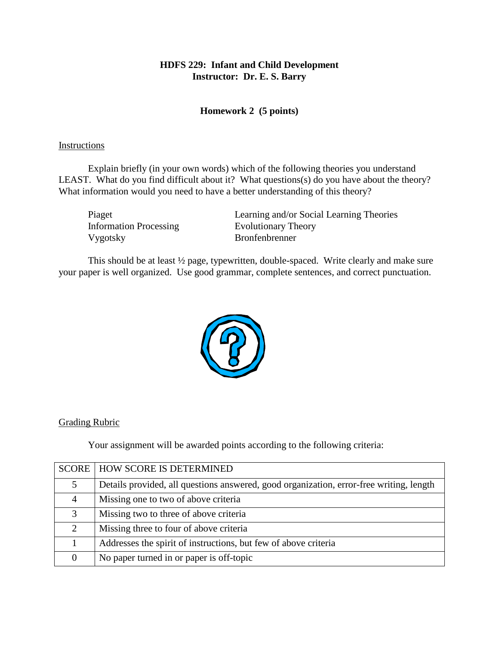## **Homework 2 (5 points)**

#### Instructions

Explain briefly (in your own words) which of the following theories you understand LEAST. What do you find difficult about it? What questions(s) do you have about the theory? What information would you need to have a better understanding of this theory?

| Learning and/or Social Learning Theories |
|------------------------------------------|
| <b>Evolutionary Theory</b>               |
| <b>Bronfenbrenner</b>                    |
|                                          |

This should be at least ½ page, typewritten, double-spaced. Write clearly and make sure your paper is well organized. Use good grammar, complete sentences, and correct punctuation.



### Grading Rubric

Your assignment will be awarded points according to the following criteria:

|   | <b>SCORE   HOW SCORE IS DETERMINED</b>                                                  |
|---|-----------------------------------------------------------------------------------------|
| 5 | Details provided, all questions answered, good organization, error-free writing, length |
| 4 | Missing one to two of above criteria.                                                   |
| 3 | Missing two to three of above criteria                                                  |
| 2 | Missing three to four of above criteria                                                 |
|   | Addresses the spirit of instructions, but few of above criteria                         |
| 0 | No paper turned in or paper is off-topic                                                |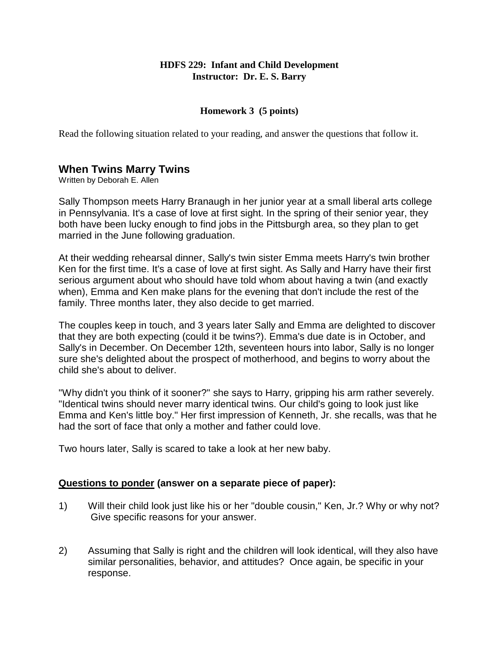### **Homework 3 (5 points)**

Read the following situation related to your reading, and answer the questions that follow it.

# **When Twins Marry Twins**

Written by Deborah E. Allen

Sally Thompson meets Harry Branaugh in her junior year at a small liberal arts college in Pennsylvania. It's a case of love at first sight. In the spring of their senior year, they both have been lucky enough to find jobs in the Pittsburgh area, so they plan to get married in the June following graduation.

At their wedding rehearsal dinner, Sally's twin sister Emma meets Harry's twin brother Ken for the first time. It's a case of love at first sight. As Sally and Harry have their first serious argument about who should have told whom about having a twin (and exactly when), Emma and Ken make plans for the evening that don't include the rest of the family. Three months later, they also decide to get married.

The couples keep in touch, and 3 years later Sally and Emma are delighted to discover that they are both expecting (could it be twins?). Emma's due date is in October, and Sally's in December. On December 12th, seventeen hours into labor, Sally is no longer sure she's delighted about the prospect of motherhood, and begins to worry about the child she's about to deliver.

"Why didn't you think of it sooner?" she says to Harry, gripping his arm rather severely. "Identical twins should never marry identical twins. Our child's going to look just like Emma and Ken's little boy." Her first impression of Kenneth, Jr. she recalls, was that he had the sort of face that only a mother and father could love.

Two hours later, Sally is scared to take a look at her new baby.

### **Questions to ponder (answer on a separate piece of paper):**

- 1) Will their child look just like his or her "double cousin," Ken, Jr.? Why or why not? Give specific reasons for your answer.
- 2) Assuming that Sally is right and the children will look identical, will they also have similar personalities, behavior, and attitudes? Once again, be specific in your response.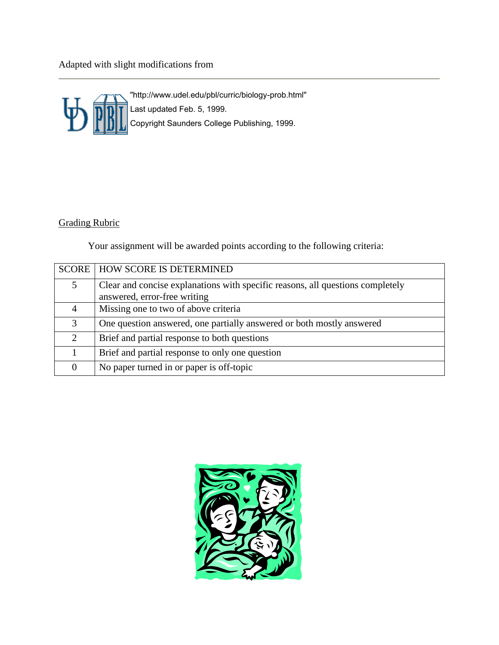Adapted with slight modifications from



"http://www.udel.edu/pbl/curric/biology-prob.html" Last updated Feb. 5, 1999. Copyright Saunders College Publishing, 1999.

# Grading Rubric

Your assignment will be awarded points according to the following criteria:

|               | <b>SCORE   HOW SCORE IS DETERMINED</b>                                                                         |
|---------------|----------------------------------------------------------------------------------------------------------------|
| 5             | Clear and concise explanations with specific reasons, all questions completely<br>answered, error-free writing |
|               |                                                                                                                |
| 4             | Missing one to two of above criteria                                                                           |
| $\mathcal{R}$ | One question answered, one partially answered or both mostly answered                                          |
| $\mathcal{D}$ | Brief and partial response to both questions                                                                   |
|               | Brief and partial response to only one question                                                                |
|               | No paper turned in or paper is off-topic                                                                       |

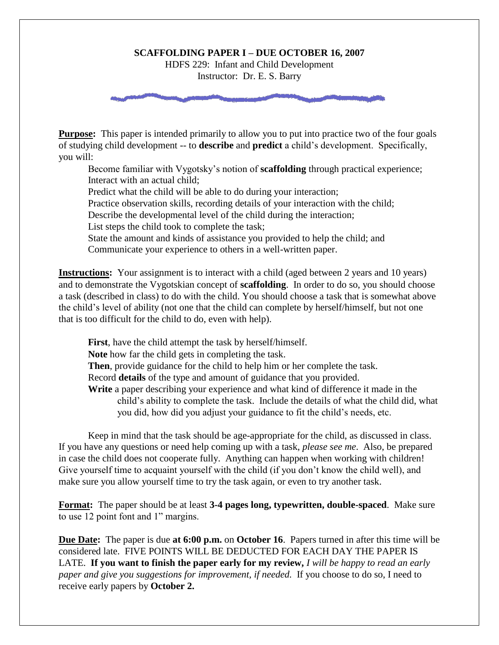#### **SCAFFOLDING PAPER I – DUE OCTOBER 16, 2007**

HDFS 229: Infant and Child Development Instructor: Dr. E. S. Barry

**Purpose:** This paper is intended primarily to allow you to put into practice two of the four goals of studying child development -- to **describe** and **predict** a child"s development. Specifically, you will:

Become familiar with Vygotsky"s notion of **scaffolding** through practical experience; Interact with an actual child;

Predict what the child will be able to do during your interaction;

Practice observation skills, recording details of your interaction with the child;

Describe the developmental level of the child during the interaction;

List steps the child took to complete the task;

State the amount and kinds of assistance you provided to help the child; and

Communicate your experience to others in a well-written paper.

**Instructions:** Your assignment is to interact with a child (aged between 2 years and 10 years) and to demonstrate the Vygotskian concept of **scaffolding**. In order to do so, you should choose a task (described in class) to do with the child. You should choose a task that is somewhat above the child"s level of ability (not one that the child can complete by herself/himself, but not one that is too difficult for the child to do, even with help).

**First**, have the child attempt the task by herself/himself. **Note** how far the child gets in completing the task. **Then**, provide guidance for the child to help him or her complete the task. Record **details** of the type and amount of guidance that you provided. **Write** a paper describing your experience and what kind of difference it made in the child"s ability to complete the task. Include the details of what the child did, what you did, how did you adjust your guidance to fit the child"s needs, etc.

Keep in mind that the task should be age-appropriate for the child, as discussed in class. If you have any questions or need help coming up with a task, *please see me*. Also, be prepared in case the child does not cooperate fully. Anything can happen when working with children! Give yourself time to acquaint yourself with the child (if you don"t know the child well), and make sure you allow yourself time to try the task again, or even to try another task.

**Format:** The paper should be at least **3-4 pages long, typewritten, double-spaced**. Make sure to use 12 point font and 1" margins.

**Due Date:** The paper is due **at 6:00 p.m.** on **October 16**. Papers turned in after this time will be considered late. FIVE POINTS WILL BE DEDUCTED FOR EACH DAY THE PAPER IS LATE. **If you want to finish the paper early for my review,** *I will be happy to read an early paper and give you suggestions for improvement, if needed.* If you choose to do so, I need to receive early papers by **October 2.**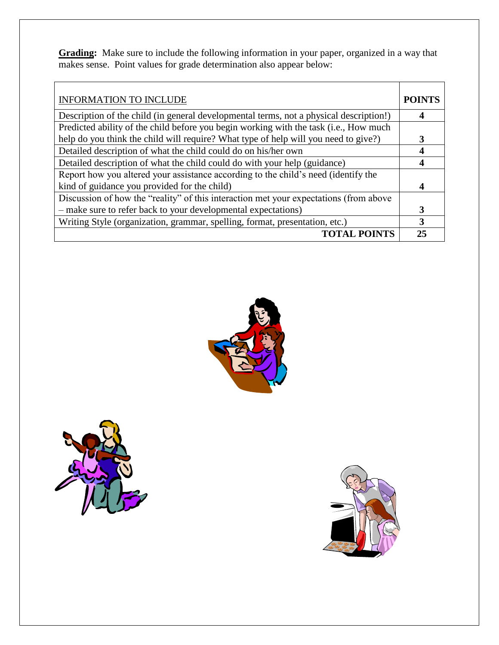**Grading:** Make sure to include the following information in your paper, organized in a way that makes sense. Point values for grade determination also appear below:

| <b>INFORMATION TO INCLUDE</b>                                                          | <b>POINTS</b> |
|----------------------------------------------------------------------------------------|---------------|
| Description of the child (in general developmental terms, not a physical description!) | 4             |
| Predicted ability of the child before you begin working with the task (i.e., How much  |               |
| help do you think the child will require? What type of help will you need to give?)    | 3             |
| Detailed description of what the child could do on his/her own                         | 4             |
| Detailed description of what the child could do with your help (guidance)              |               |
| Report how you altered your assistance according to the child's need (identify the     |               |
| kind of guidance you provided for the child)                                           | 4             |
| Discussion of how the "reality" of this interaction met your expectations (from above  |               |
| - make sure to refer back to your developmental expectations)                          | 3             |
| Writing Style (organization, grammar, spelling, format, presentation, etc.)            |               |
| <b>TOTAL POINTS</b>                                                                    | 25            |





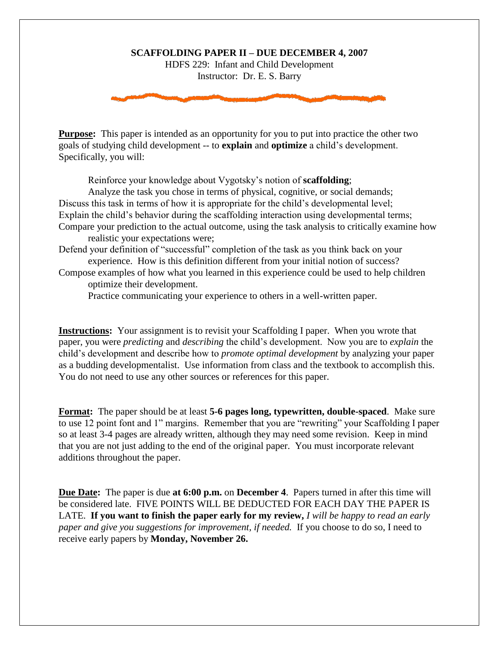#### **SCAFFOLDING PAPER II – DUE DECEMBER 4, 2007**

HDFS 229: Infant and Child Development Instructor: Dr. E. S. Barry

**Purpose:** This paper is intended as an opportunity for you to put into practice the other two goals of studying child development -- to **explain** and **optimize** a child"s development. Specifically, you will:

Reinforce your knowledge about Vygotsky"s notion of **scaffolding**;

Analyze the task you chose in terms of physical, cognitive, or social demands; Discuss this task in terms of how it is appropriate for the child's developmental level; Explain the child"s behavior during the scaffolding interaction using developmental terms; Compare your prediction to the actual outcome, using the task analysis to critically examine how realistic your expectations were;

Defend your definition of "successful" completion of the task as you think back on your experience. How is this definition different from your initial notion of success?

Compose examples of how what you learned in this experience could be used to help children optimize their development.

Practice communicating your experience to others in a well-written paper.

**Instructions:** Your assignment is to revisit your Scaffolding I paper. When you wrote that paper, you were *predicting* and *describing* the child"s development. Now you are to *explain* the child"s development and describe how to *promote optimal development* by analyzing your paper as a budding developmentalist. Use information from class and the textbook to accomplish this. You do not need to use any other sources or references for this paper.

**Format:** The paper should be at least **5-6 pages long, typewritten, double-spaced**. Make sure to use 12 point font and 1" margins. Remember that you are "rewriting" your Scaffolding I paper so at least 3-4 pages are already written, although they may need some revision. Keep in mind that you are not just adding to the end of the original paper. You must incorporate relevant additions throughout the paper.

**Due Date:** The paper is due **at 6:00 p.m.** on **December 4**. Papers turned in after this time will be considered late. FIVE POINTS WILL BE DEDUCTED FOR EACH DAY THE PAPER IS LATE. **If you want to finish the paper early for my review,** *I will be happy to read an early paper and give you suggestions for improvement, if needed.* If you choose to do so, I need to receive early papers by **Monday, November 26.**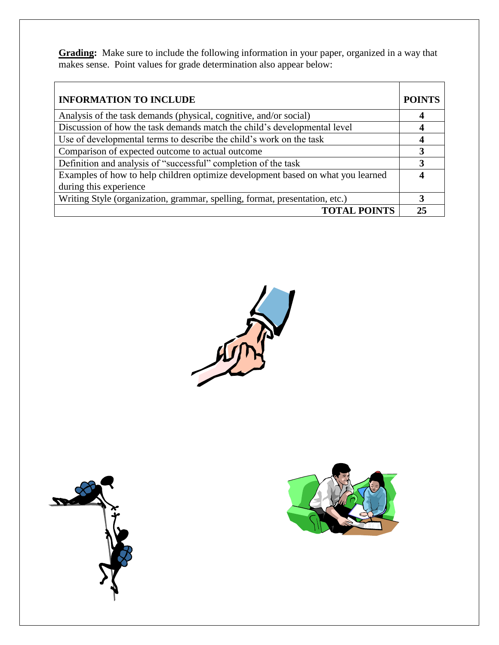**Grading:** Make sure to include the following information in your paper, organized in a way that makes sense. Point values for grade determination also appear below:

| <b>INFORMATION TO INCLUDE</b>                                                   | <b>POINTS</b> |
|---------------------------------------------------------------------------------|---------------|
| Analysis of the task demands (physical, cognitive, and/or social)               | 4             |
| Discussion of how the task demands match the child's developmental level        |               |
| Use of developmental terms to describe the child's work on the task             |               |
| Comparison of expected outcome to actual outcome                                |               |
| Definition and analysis of "successful" completion of the task                  | 3             |
| Examples of how to help children optimize development based on what you learned |               |
| during this experience                                                          |               |
| Writing Style (organization, grammar, spelling, format, presentation, etc.)     | 3             |
| <b>TOTAL POINTS</b>                                                             | 25            |





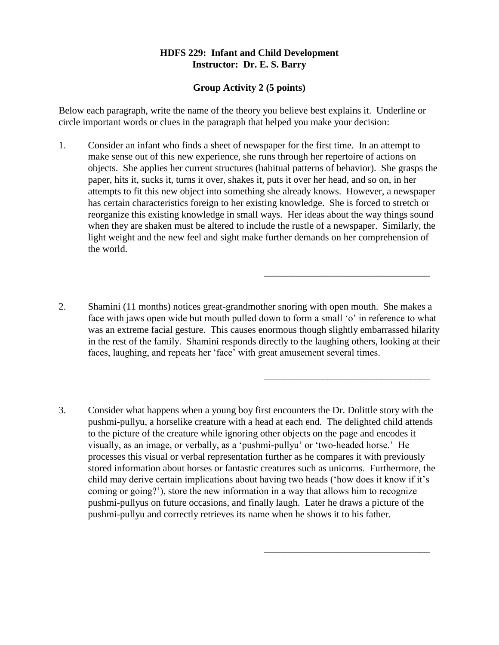#### **Group Activity 2 (5 points)**

Below each paragraph, write the name of the theory you believe best explains it. Underline or circle important words or clues in the paragraph that helped you make your decision:

- 1. Consider an infant who finds a sheet of newspaper for the first time. In an attempt to make sense out of this new experience, she runs through her repertoire of actions on objects. She applies her current structures (habitual patterns of behavior). She grasps the paper, hits it, sucks it, turns it over, shakes it, puts it over her head, and so on, in her attempts to fit this new object into something she already knows. However, a newspaper has certain characteristics foreign to her existing knowledge. She is forced to stretch or reorganize this existing knowledge in small ways. Her ideas about the way things sound when they are shaken must be altered to include the rustle of a newspaper. Similarly, the light weight and the new feel and sight make further demands on her comprehension of the world.
- 2. Shamini (11 months) notices great-grandmother snoring with open mouth. She makes a face with jaws open wide but mouth pulled down to form a small 'o' in reference to what was an extreme facial gesture. This causes enormous though slightly embarrassed hilarity in the rest of the family. Shamini responds directly to the laughing others, looking at their faces, laughing, and repeats her 'face' with great amusement several times.

\_\_\_\_\_\_\_\_\_\_\_\_\_\_\_\_\_\_\_\_\_\_\_\_\_\_\_\_\_\_\_\_\_\_

\_\_\_\_\_\_\_\_\_\_\_\_\_\_\_\_\_\_\_\_\_\_\_\_\_\_\_\_\_\_\_\_\_\_

\_\_\_\_\_\_\_\_\_\_\_\_\_\_\_\_\_\_\_\_\_\_\_\_\_\_\_\_\_\_\_\_\_\_

3. Consider what happens when a young boy first encounters the Dr. Dolittle story with the pushmi-pullyu, a horselike creature with a head at each end. The delighted child attends to the picture of the creature while ignoring other objects on the page and encodes it visually, as an image, or verbally, as a "pushmi-pullyu" or "two-headed horse." He processes this visual or verbal representation further as he compares it with previously stored information about horses or fantastic creatures such as unicorns. Furthermore, the child may derive certain implications about having two heads ("how does it know if it"s coming or going?"), store the new information in a way that allows him to recognize pushmi-pullyus on future occasions, and finally laugh. Later he draws a picture of the pushmi-pullyu and correctly retrieves its name when he shows it to his father.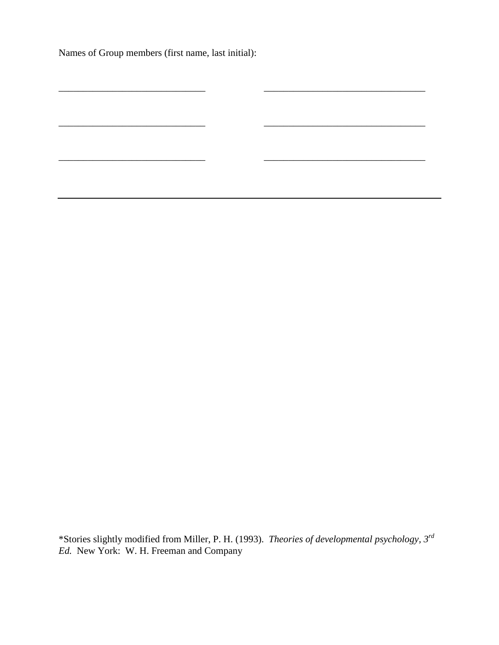Names of Group members (first name, last initial):

\*Stories slightly modified from Miller, P. H. (1993). *Theories of developmental psychology, 3rd Ed.* New York: W. H. Freeman and Company

\_\_\_\_\_\_\_\_\_\_\_\_\_\_\_\_\_\_\_\_\_\_\_\_\_\_\_\_\_\_ \_\_\_\_\_\_\_\_\_\_\_\_\_\_\_\_\_\_\_\_\_\_\_\_\_\_\_\_\_\_\_\_\_

\_\_\_\_\_\_\_\_\_\_\_\_\_\_\_\_\_\_\_\_\_\_\_\_\_\_\_\_\_\_ \_\_\_\_\_\_\_\_\_\_\_\_\_\_\_\_\_\_\_\_\_\_\_\_\_\_\_\_\_\_\_\_\_

 $\frac{1}{2}$  ,  $\frac{1}{2}$  ,  $\frac{1}{2}$  ,  $\frac{1}{2}$  ,  $\frac{1}{2}$  ,  $\frac{1}{2}$  ,  $\frac{1}{2}$  ,  $\frac{1}{2}$  ,  $\frac{1}{2}$  ,  $\frac{1}{2}$  ,  $\frac{1}{2}$  ,  $\frac{1}{2}$  ,  $\frac{1}{2}$  ,  $\frac{1}{2}$  ,  $\frac{1}{2}$  ,  $\frac{1}{2}$  ,  $\frac{1}{2}$  ,  $\frac{1}{2}$  ,  $\frac{1$